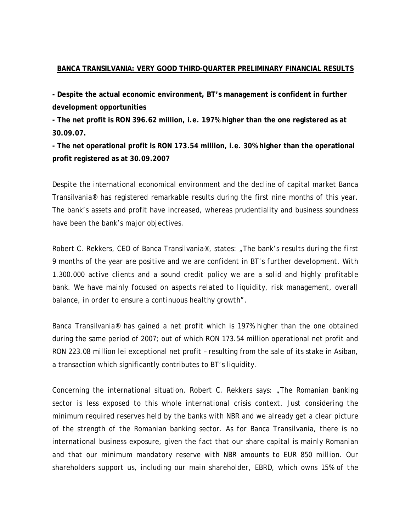## **BANCA TRANSILVANIA: VERY GOOD THIRD-QUARTER PRELIMINARY FINANCIAL RESULTS**

**- Despite the actual economic environment, BT's management is confident in further development opportunities** 

**- The net profit is RON 396.62 million, i.e. 197% higher than the one registered as at 30.09.07.** 

**- The net operational profit is RON 173.54 million, i.e. 30% higher than the operational profit registered as at 30.09.2007** 

Despite the international economical environment and the decline of capital market Banca Transilvania® has registered remarkable results during the first nine months of this year. The bank's assets and profit have increased, whereas prudentiality and business soundness have been the bank's major objectives.

Robert C. Rekkers, CEO of Banca Transilvania®, states: *"The bank's results during the first 9 months of the year are positive and we are confident in BT's further development. With 1.300.000 active clients and a sound credit policy we are a solid and highly profitable bank. We have mainly focused on aspects related to liquidity, risk management, overall balance, in order to ensure a continuous healthy growth".* 

Banca Transilvania® has gained a net profit which is 197% higher than the one obtained during the same period of 2007; out of which RON 173.54 million operational net profit and RON 223.08 million lei exceptional net profit – resulting from the sale of its stake in Asiban, a transaction which significantly contributes to BT's liquidity.

Concerning the international situation, Robert C. Rekkers says: "*The Romanian banking sector is less exposed to this whole international crisis context. Just considering the minimum required reserves held by the banks with NBR and we already get a clear picture of the strength of the Romanian banking sector. As for Banca Transilvania, there is no international business exposure, given the fact that our share capital is mainly Romanian and that our minimum mandatory reserve with NBR amounts to EUR 850 million. Our shareholders support us, including our main shareholder, EBRD, which owns 15% of the*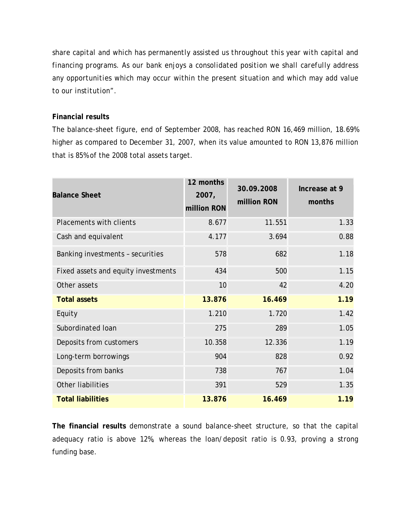*share capital and which has permanently assisted us throughout this year with capital and financing programs. As our bank enjoys a consolidated position we shall carefully address any opportunities which may occur within the present situation and which may add value to our institution".* 

## **Financial results**

The balance-sheet figure, end of September 2008, has reached RON 16,469 million, 18.69% higher as compared to December 31, 2007, when its value amounted to RON 13,876 million that is 85% of the 2008 total assets target.

| <b>Balance Sheet</b>                | 12 months<br>2007,<br>million RON | 30.09.2008<br>million RON | Increase at 9<br>months |
|-------------------------------------|-----------------------------------|---------------------------|-------------------------|
| <b>Placements with clients</b>      | 8.677                             | 11.551                    | 1.33                    |
| Cash and equivalent                 | 4.177                             | 3.694                     | 0.88                    |
| Banking investments - securities    | 578                               | 682                       | 1.18                    |
| Fixed assets and equity investments | 434                               | 500                       | 1.15                    |
| Other assets                        | 10                                | 42                        | 4.20                    |
| <b>Total assets</b>                 | 13.876                            | 16.469                    | 1.19                    |
| Equity                              | 1.210                             | 1.720                     | 1.42                    |
| Subordinated Ioan                   | 275                               | 289                       | 1.05                    |
| Deposits from customers             | 10.358                            | 12.336                    | 1.19                    |
| Long-term borrowings                | 904                               | 828                       | 0.92                    |
| Deposits from banks                 | 738                               | 767                       | 1.04                    |
| Other liabilities                   | 391                               | 529                       | 1.35                    |
| <b>Total liabilities</b>            | 13.876                            | 16.469                    | 1.19                    |

**The financial results** demonstrate a sound balance-sheet structure, so that the capital adequacy ratio is above 12%, whereas the loan/deposit ratio is 0.93, proving a strong funding base.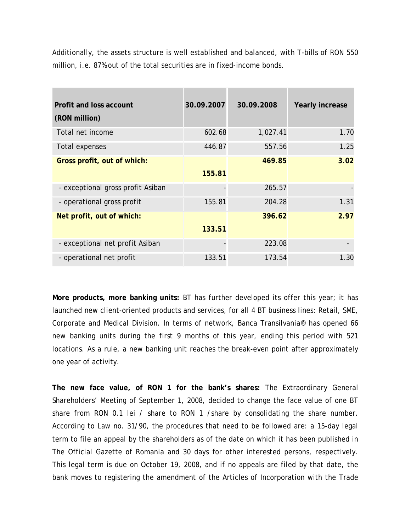Additionally, the assets structure is well established and balanced, with T-bills of RON 550 million, i.e. 87% out of the total securities are in fixed-income bonds.

| Profit and loss account<br>(RON million) | 30.09.2007 | 30.09.2008 | Yearly increase |
|------------------------------------------|------------|------------|-----------------|
| Total net income                         | 602.68     | 1,027.41   | 1.70            |
| Total expenses                           | 446.87     | 557.56     | 1.25            |
| Gross profit, out of which:              | 155.81     | 469.85     | 3.02            |
| - exceptional gross profit Asiban        |            | 265.57     |                 |
| - operational gross profit               | 155.81     | 204.28     | 1.31            |
| Net profit, out of which:                | 133.51     | 396.62     | 2.97            |
| - exceptional net profit Asiban          |            | 223.08     |                 |
| - operational net profit                 | 133.51     | 173.54     | 1.30            |

**More products, more banking units:** BT has further developed its offer this year; it has launched new client-oriented products and services, for all 4 BT business lines: Retail, SME, Corporate and Medical Division. In terms of network, Banca Transilvania® has opened 66 new banking units during the first 9 months of this year, ending this period with 521 locations. As a rule, a new banking unit reaches the break-even point after approximately one year of activity.

**The new face value, of RON 1 for the bank's shares:** The Extraordinary General Shareholders' Meeting of September 1, 2008, decided to change the face value of one BT share from RON 0.1 lei / share to RON 1 / share by consolidating the share number. According to Law no. 31/90, the procedures that need to be followed are: a 15-day legal term to file an appeal by the shareholders as of the date on which it has been published in The Official Gazette of Romania and 30 days for other interested persons, respectively. This legal term is due on October 19, 2008, and if no appeals are filed by that date, the bank moves to registering the amendment of the Articles of Incorporation with the Trade